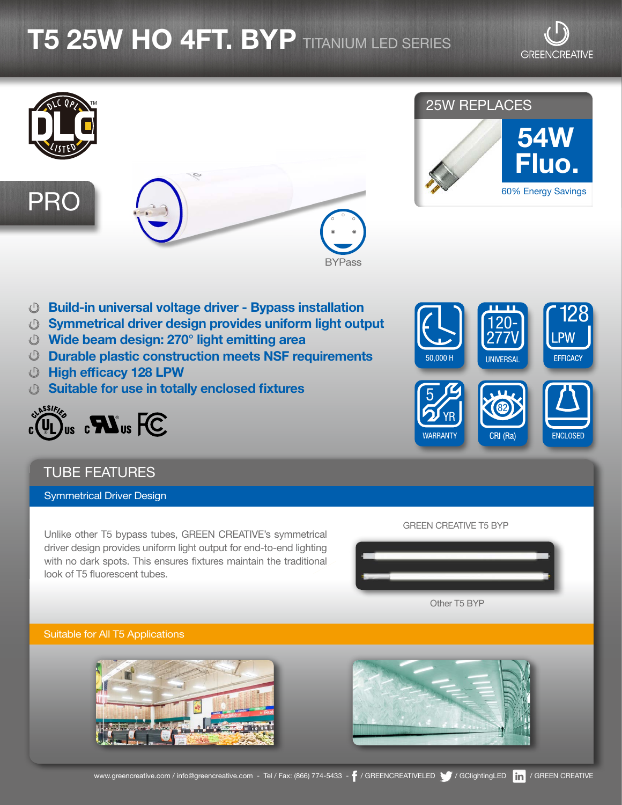# **T5 25W HO 4FT. BYP** titanium led series



### 25W REPLACES



- Build-in universal voltage driver Bypass installation
- Symmetrical driver design provides uniform light output
- Wide beam design: 270° light emitting area
- Durable plastic construction meets NSF requirements
- High efficacy 128 LPW
- Suitable for use in totally enclosed fixtures



### TUBE FEATURES

Symmetrical Driver Design

Unlike other T5 bypass tubes, GREEN CREATIVE's symmetrical driver design provides uniform light output for end-to-end lighting with no dark spots. This ensures fixtures maintain the traditional look of T5 fluorescent tubes.



# Other T5 BYP

GREEN CREATIVE T5 BYP

Suitable for All T5 Applications